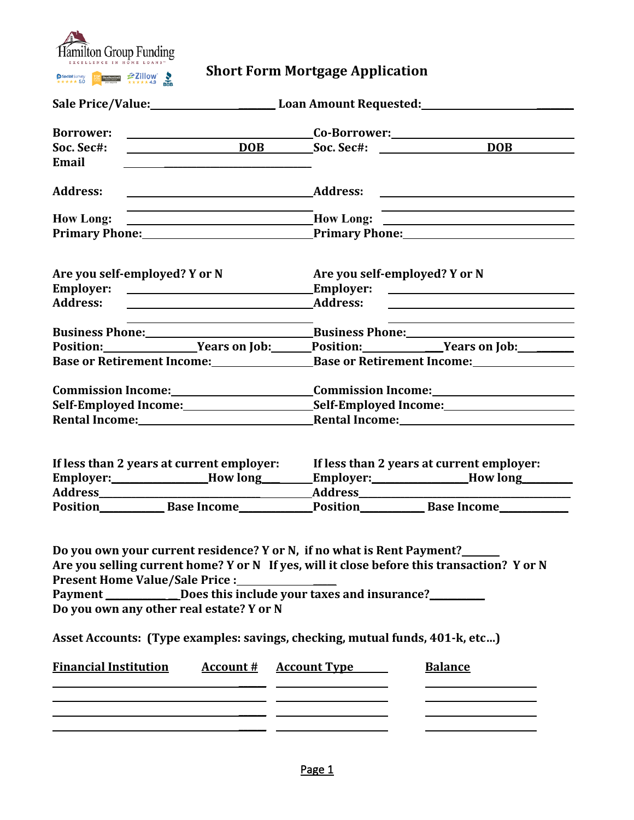

## **Short Form Mortgage Application**

| <b>Borrower:</b>                                                                                   | <u>Co-Borrower: Example 2001</u> Co-Borrower:                                                                                                                                                                                                          |  |
|----------------------------------------------------------------------------------------------------|--------------------------------------------------------------------------------------------------------------------------------------------------------------------------------------------------------------------------------------------------------|--|
| Soc. Sec#:                                                                                         | <b>DOB</b> Soc. Sec#:                                                                                                                                                                                                                                  |  |
| Email<br>the control of the control of the control of the control of the control of the control of |                                                                                                                                                                                                                                                        |  |
| <b>Address:</b><br><u> 1989 - Johann Stein, mars an t-Amerikaansk ferskeider (</u>                 | <b>Address:</b><br><u> Alexandria de la contrada de la contrada de la contrada de la contrada de la contrada de la contrada de la c</u>                                                                                                                |  |
| <b>How Long:</b>                                                                                   | How Long:                                                                                                                                                                                                                                              |  |
|                                                                                                    | Primary Phone: <u>New York: Primary Phone:</u> New York: New York: New York: New York: New York: New York: New York: New York: New York: New York: New York: New York: New York: New York: New York: New York: New York: New York:                     |  |
| Are you self-employed? Y or N                                                                      | Are you self-employed? Y or N                                                                                                                                                                                                                          |  |
|                                                                                                    |                                                                                                                                                                                                                                                        |  |
| <b>Address:</b><br><u> 1989 - Johann Barn, amerikansk politiker (d. 1989)</u>                      | <b>Address:</b>                                                                                                                                                                                                                                        |  |
|                                                                                                    |                                                                                                                                                                                                                                                        |  |
|                                                                                                    | Business Phone: Business Phone: Business Phone:                                                                                                                                                                                                        |  |
|                                                                                                    | Position: Vears on Job: Position: Years on Job: Vears on Job:                                                                                                                                                                                          |  |
|                                                                                                    | Base or Retirement Income: Base or Retirement Income:                                                                                                                                                                                                  |  |
|                                                                                                    |                                                                                                                                                                                                                                                        |  |
|                                                                                                    |                                                                                                                                                                                                                                                        |  |
|                                                                                                    |                                                                                                                                                                                                                                                        |  |
|                                                                                                    |                                                                                                                                                                                                                                                        |  |
| If less than 2 years at current employer:<br>Employer:______________How long________               | If less than 2 years at current employer:<br>Employer:______________How long_______                                                                                                                                                                    |  |
| Present Home Value/Sale Price :______________<br>Do you own any other real estate? Y or N          | Do you own your current residence? Y or N, if no what is Rent Payment?____<br>Are you selling current home? Y or N If yes, will it close before this transaction? Y or N<br>Payment ______________Does this include your taxes and insurance?_________ |  |
|                                                                                                    | Asset Accounts: (Type examples: savings, checking, mutual funds, 401-k, etc)                                                                                                                                                                           |  |
| <b>Financial Institution</b><br><u> 1989 - Andrea Stadt Britain, amerikansk politik (* 1908)</u>   | <b>Account # Account Type</b><br><b>Balance</b>                                                                                                                                                                                                        |  |
|                                                                                                    | <u> 1980 - Johann Barn, mars an t-Amerikaansk kommunister (</u>                                                                                                                                                                                        |  |
| <u> 1989 - Johann Barn, amerikan personal (h. 1989)</u>                                            |                                                                                                                                                                                                                                                        |  |
|                                                                                                    |                                                                                                                                                                                                                                                        |  |